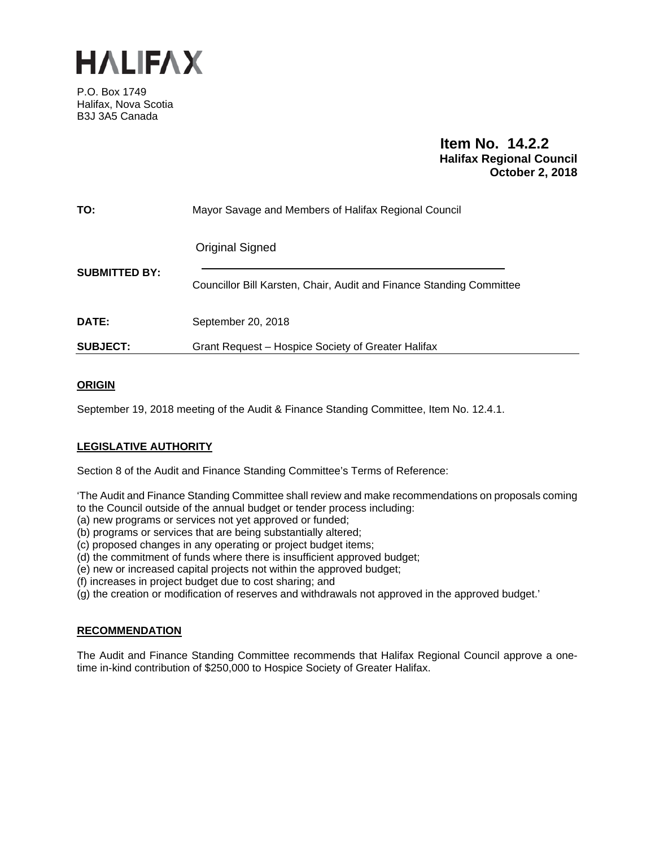

P.O. Box 1749 Halifax, Nova Scotia B3J 3A5 Canada

> **Item No. 14.2.2 Halifax Regional Council October 2, 2018**

| <b>SUBJECT:</b>      | Grant Request – Hospice Society of Greater Halifax                                             |
|----------------------|------------------------------------------------------------------------------------------------|
| <b>DATE:</b>         | September 20, 2018                                                                             |
| <b>SUBMITTED BY:</b> | <b>Original Signed</b><br>Councillor Bill Karsten, Chair, Audit and Finance Standing Committee |
| TO:                  | Mayor Savage and Members of Halifax Regional Council                                           |

# **ORIGIN**

September 19, 2018 meeting of the Audit & Finance Standing Committee, Item No. 12.4.1.

# **LEGISLATIVE AUTHORITY**

Section 8 of the Audit and Finance Standing Committee's Terms of Reference:

'The Audit and Finance Standing Committee shall review and make recommendations on proposals coming to the Council outside of the annual budget or tender process including:

(a) new programs or services not yet approved or funded;

(b) programs or services that are being substantially altered;

(c) proposed changes in any operating or project budget items;

(d) the commitment of funds where there is insufficient approved budget;

(e) new or increased capital projects not within the approved budget;

(f) increases in project budget due to cost sharing; and

(g) the creation or modification of reserves and withdrawals not approved in the approved budget.'

### **RECOMMENDATION**

The Audit and Finance Standing Committee recommends that Halifax Regional Council approve a onetime in-kind contribution of \$250,000 to Hospice Society of Greater Halifax.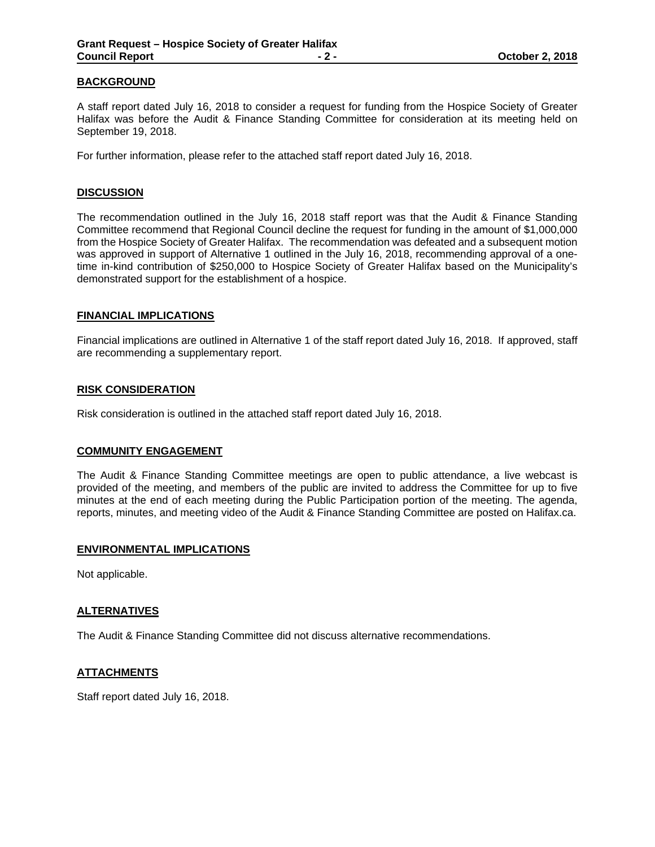### **BACKGROUND**

A staff report dated July 16, 2018 to consider a request for funding from the Hospice Society of Greater Halifax was before the Audit & Finance Standing Committee for consideration at its meeting held on September 19, 2018.

For further information, please refer to the attached staff report dated July 16, 2018.

#### **DISCUSSION**

The recommendation outlined in the July 16, 2018 staff report was that the Audit & Finance Standing Committee recommend that Regional Council decline the request for funding in the amount of \$1,000,000 from the Hospice Society of Greater Halifax. The recommendation was defeated and a subsequent motion was approved in support of Alternative 1 outlined in the July 16, 2018, recommending approval of a onetime in-kind contribution of \$250,000 to Hospice Society of Greater Halifax based on the Municipality's demonstrated support for the establishment of a hospice.

#### **FINANCIAL IMPLICATIONS**

Financial implications are outlined in Alternative 1 of the staff report dated July 16, 2018. If approved, staff are recommending a supplementary report.

#### **RISK CONSIDERATION**

Risk consideration is outlined in the attached staff report dated July 16, 2018.

#### **COMMUNITY ENGAGEMENT**

The Audit & Finance Standing Committee meetings are open to public attendance, a live webcast is provided of the meeting, and members of the public are invited to address the Committee for up to five minutes at the end of each meeting during the Public Participation portion of the meeting. The agenda, reports, minutes, and meeting video of the Audit & Finance Standing Committee are posted on Halifax.ca.

### **ENVIRONMENTAL IMPLICATIONS**

Not applicable.

#### **ALTERNATIVES**

The Audit & Finance Standing Committee did not discuss alternative recommendations.

### **ATTACHMENTS**

Staff report dated July 16, 2018.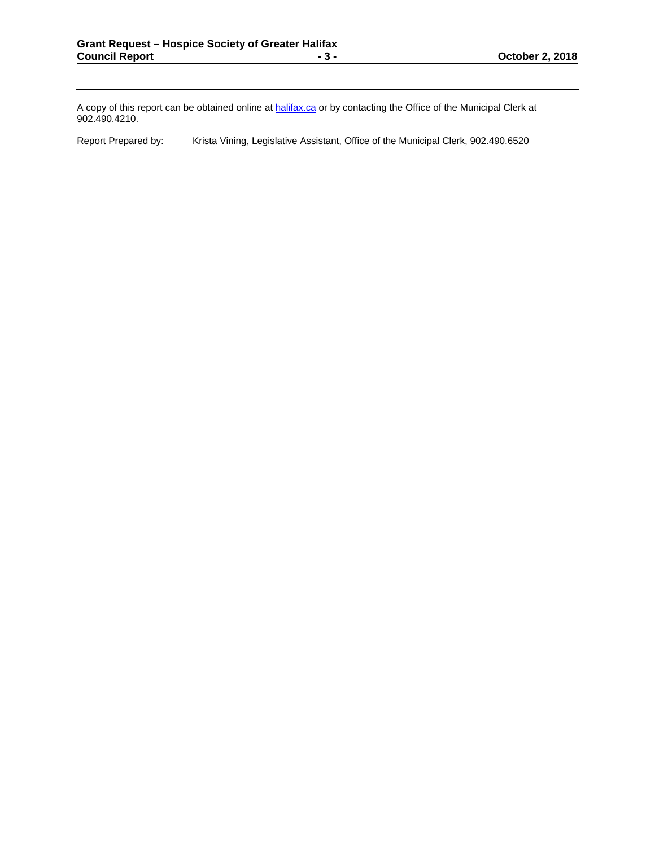A copy of this report can be obtained online at halifax.ca or by contacting the Office of the Municipal Clerk at 902.490.4210.

Report Prepared by: Krista Vining, Legislative Assistant, Office of the Municipal Clerk, 902.490.6520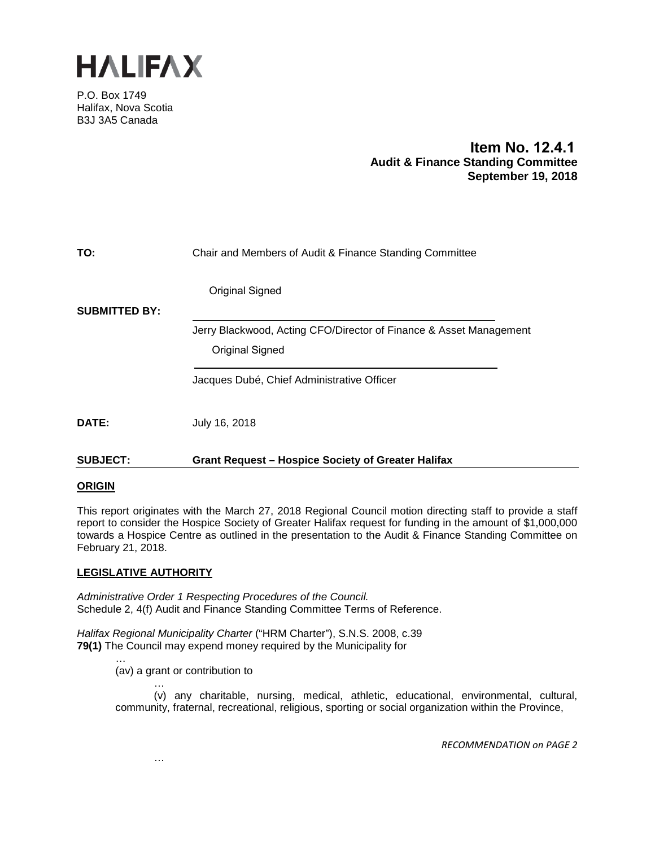

P.O. Box 1749 Halifax, Nova Scotia B3J 3A5 Canada

# **Item No. 12.4.1 Audit & Finance Standing Committee September 19, 2018**

| TO:                  | Chair and Members of Audit & Finance Standing Committee            |
|----------------------|--------------------------------------------------------------------|
|                      | <b>Original Signed</b>                                             |
| <b>SUBMITTED BY:</b> |                                                                    |
|                      | Jerry Blackwood, Acting CFO/Director of Finance & Asset Management |
|                      | Original Signed                                                    |
|                      | Jacques Dubé, Chief Administrative Officer                         |
| DATE:                | July 16, 2018                                                      |
| <b>SUBJECT:</b>      | <b>Grant Request - Hospice Society of Greater Halifax</b>          |

### **ORIGIN**

This report originates with the March 27, 2018 Regional Council motion directing staff to provide a staff report to consider the Hospice Society of Greater Halifax request for funding in the amount of \$1,000,000 towards a Hospice Centre as outlined in the presentation to the Audit & Finance Standing Committee on February 21, 2018.

# **LEGISLATIVE AUTHORITY**

*Administrative Order 1 Respecting Procedures of the Council.* Schedule 2, 4(f) Audit and Finance Standing Committee Terms of Reference.

*Halifax Regional Municipality Charter* ("HRM Charter"), S.N.S. 2008, c.39 **79(1)** The Council may expend money required by the Municipality for

> … (av) a grant or contribution to

> > …

…

(v) any charitable, nursing, medical, athletic, educational, environmental, cultural, community, fraternal, recreational, religious, sporting or social organization within the Province,

*RECOMMENDATION on PAGE 2*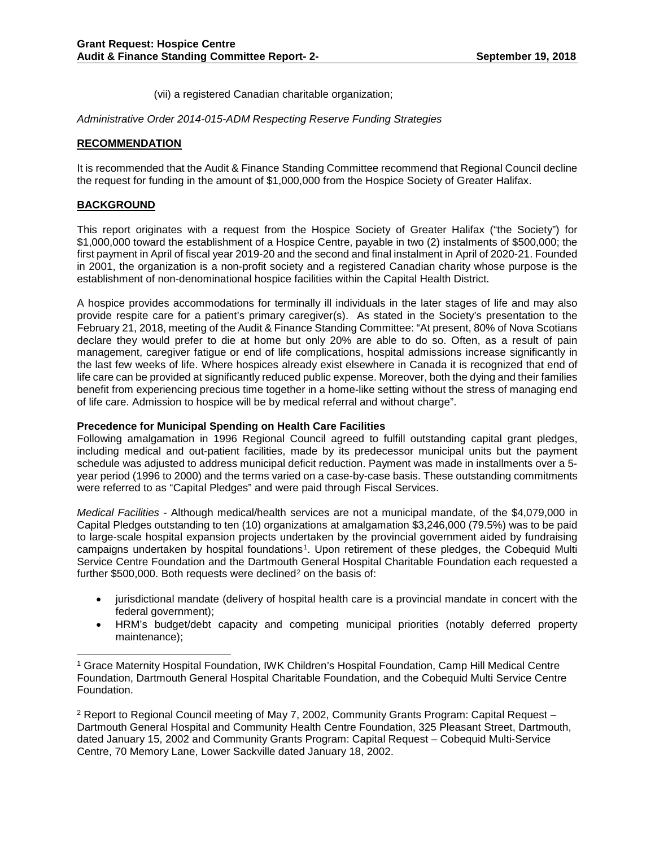(vii) a registered Canadian charitable organization;

*Administrative Order 2014-015-ADM Respecting Reserve Funding Strategies*

### **RECOMMENDATION**

It is recommended that the Audit & Finance Standing Committee recommend that Regional Council decline the request for funding in the amount of \$1,000,000 from the Hospice Society of Greater Halifax.

### **BACKGROUND**

This report originates with a request from the Hospice Society of Greater Halifax ("the Society") for \$1,000,000 toward the establishment of a Hospice Centre, payable in two (2) instalments of \$500,000; the first payment in April of fiscal year 2019-20 and the second and final instalment in April of 2020-21. Founded in 2001, the organization is a non-profit society and a registered Canadian charity whose purpose is the establishment of non-denominational hospice facilities within the Capital Health District.

A hospice provides accommodations for terminally ill individuals in the later stages of life and may also provide respite care for a patient's primary caregiver(s). As stated in the Society's presentation to the February 21, 2018, meeting of the Audit & Finance Standing Committee: "At present, 80% of Nova Scotians declare they would prefer to die at home but only 20% are able to do so. Often, as a result of pain management, caregiver fatigue or end of life complications, hospital admissions increase significantly in the last few weeks of life. Where hospices already exist elsewhere in Canada it is recognized that end of life care can be provided at significantly reduced public expense. Moreover, both the dying and their families benefit from experiencing precious time together in a home-like setting without the stress of managing end of life care. Admission to hospice will be by medical referral and without charge".

### **Precedence for Municipal Spending on Health Care Facilities**

Following amalgamation in 1996 Regional Council agreed to fulfill outstanding capital grant pledges, including medical and out-patient facilities, made by its predecessor municipal units but the payment schedule was adjusted to address municipal deficit reduction. Payment was made in installments over a 5 year period (1996 to 2000) and the terms varied on a case-by-case basis. These outstanding commitments were referred to as "Capital Pledges" and were paid through Fiscal Services.

*Medical Facilities -* Although medical/health services are not a municipal mandate, of the \$4,079,000 in Capital Pledges outstanding to ten (10) organizations at amalgamation \$3,246,000 (79.5%) was to be paid to large-scale hospital expansion projects undertaken by the provincial government aided by fundraising campaigns undertaken by hospital foundations[1](#page-4-0). Upon retirement of these pledges, the Cobequid Multi Service Centre Foundation and the Dartmouth General Hospital Charitable Foundation each requested a further  $$500,000$ . Both requests were declined<sup>[2](#page-4-1)</sup> on the basis of:

- jurisdictional mandate (delivery of hospital health care is a provincial mandate in concert with the federal government);
- HRM's budget/debt capacity and competing municipal priorities (notably deferred property maintenance);

<span id="page-4-0"></span> <sup>1</sup> Grace Maternity Hospital Foundation, IWK Children's Hospital Foundation, Camp Hill Medical Centre Foundation, Dartmouth General Hospital Charitable Foundation, and the Cobequid Multi Service Centre Foundation.

<span id="page-4-1"></span><sup>2</sup> Report to Regional Council meeting of May 7, 2002, Community Grants Program: Capital Request – Dartmouth General Hospital and Community Health Centre Foundation, 325 Pleasant Street, Dartmouth, dated January 15, 2002 and Community Grants Program: Capital Request – Cobequid Multi-Service Centre, 70 Memory Lane, Lower Sackville dated January 18, 2002.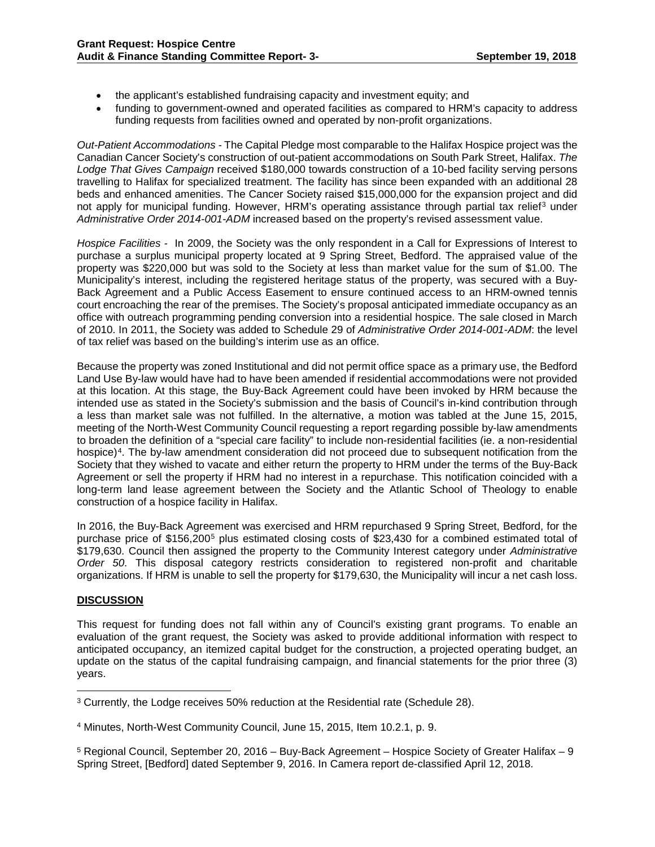- the applicant's established fundraising capacity and investment equity; and
- funding to government-owned and operated facilities as compared to HRM's capacity to address funding requests from facilities owned and operated by non-profit organizations.

*Out-Patient Accommodations -* The Capital Pledge most comparable to the Halifax Hospice project was the Canadian Cancer Society's construction of out-patient accommodations on South Park Street, Halifax. *The Lodge That Gives Campaign* received \$180,000 towards construction of a 10-bed facility serving persons travelling to Halifax for specialized treatment. The facility has since been expanded with an additional 28 beds and enhanced amenities. The Cancer Society raised \$15,000,000 for the expansion project and did not apply for municipal funding. However, HRM's operating assistance through partial tax relief<sup>[3](#page-5-0)</sup> under *Administrative Order 2014-001-ADM* increased based on the property's revised assessment value.

*Hospice Facilities -* In 2009, the Society was the only respondent in a Call for Expressions of Interest to purchase a surplus municipal property located at 9 Spring Street, Bedford. The appraised value of the property was \$220,000 but was sold to the Society at less than market value for the sum of \$1.00. The Municipality's interest, including the registered heritage status of the property, was secured with a Buy-Back Agreement and a Public Access Easement to ensure continued access to an HRM-owned tennis court encroaching the rear of the premises. The Society's proposal anticipated immediate occupancy as an office with outreach programming pending conversion into a residential hospice. The sale closed in March of 2010. In 2011, the Society was added to Schedule 29 of *Administrative Order 2014-001-ADM*: the level of tax relief was based on the building's interim use as an office.

Because the property was zoned Institutional and did not permit office space as a primary use, the Bedford Land Use By-law would have had to have been amended if residential accommodations were not provided at this location. At this stage, the Buy-Back Agreement could have been invoked by HRM because the intended use as stated in the Society's submission and the basis of Council's in-kind contribution through a less than market sale was not fulfilled. In the alternative, a motion was tabled at the June 15, 2015, meeting of the North-West Community Council requesting a report regarding possible by-law amendments to broaden the definition of a "special care facility" to include non-residential facilities (ie. a non-residential hospice)<sup>4</sup>. The by-law amendment consideration did not proceed due to subsequent notification from the Society that they wished to vacate and either return the property to HRM under the terms of the Buy-Back Agreement or sell the property if HRM had no interest in a repurchase. This notification coincided with a long-term land lease agreement between the Society and the Atlantic School of Theology to enable construction of a hospice facility in Halifax.

In 2016, the Buy-Back Agreement was exercised and HRM repurchased 9 Spring Street, Bedford, for the purchase price of \$156,200[5](#page-5-2) plus estimated closing costs of \$23,430 for a combined estimated total of \$179,630. Council then assigned the property to the Community Interest category under *Administrative Order 50*. This disposal category restricts consideration to registered non-profit and charitable organizations. If HRM is unable to sell the property for \$179,630, the Municipality will incur a net cash loss.

# **DISCUSSION**

This request for funding does not fall within any of Council's existing grant programs. To enable an evaluation of the grant request, the Society was asked to provide additional information with respect to anticipated occupancy, an itemized capital budget for the construction, a projected operating budget, an update on the status of the capital fundraising campaign, and financial statements for the prior three (3) years.

<span id="page-5-0"></span> <sup>3</sup> Currently, the Lodge receives 50% reduction at the Residential rate (Schedule 28).

<span id="page-5-1"></span><sup>4</sup> Minutes, North-West Community Council, June 15, 2015, Item 10.2.1, p. 9.

<span id="page-5-2"></span><sup>5</sup> Regional Council, September 20, 2016 – Buy-Back Agreement – Hospice Society of Greater Halifax – 9 Spring Street, [Bedford] dated September 9, 2016. In Camera report de-classified April 12, 2018.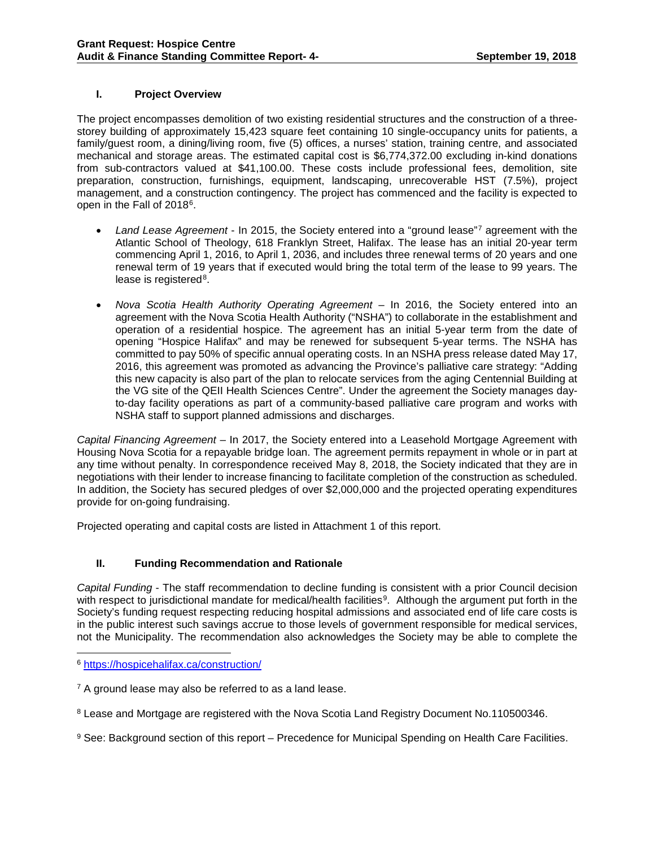### **I. Project Overview**

The project encompasses demolition of two existing residential structures and the construction of a threestorey building of approximately 15,423 square feet containing 10 single-occupancy units for patients, a family/guest room, a dining/living room, five (5) offices, a nurses' station, training centre, and associated mechanical and storage areas. The estimated capital cost is \$6,774,372.00 excluding in-kind donations from sub-contractors valued at \$41,100.00. These costs include professional fees, demolition, site preparation, construction, furnishings, equipment, landscaping, unrecoverable HST (7.5%), project management, and a construction contingency. The project has commenced and the facility is expected to open in the Fall of 2018<sup>6</sup>.

- *Land Lease Agreement* In 2015, the Society entered into a "ground lease"[7](#page-6-1) agreement with the Atlantic School of Theology, 618 Franklyn Street, Halifax. The lease has an initial 20-year term commencing April 1, 2016, to April 1, 2036, and includes three renewal terms of 20 years and one renewal term of 19 years that if executed would bring the total term of the lease to 99 years. The lease is registered<sup>[8](#page-6-2)</sup>.
- *Nova Scotia Health Authority Operating Agreement* In 2016, the Society entered into an agreement with the Nova Scotia Health Authority ("NSHA") to collaborate in the establishment and operation of a residential hospice. The agreement has an initial 5-year term from the date of opening "Hospice Halifax" and may be renewed for subsequent 5-year terms. The NSHA has committed to pay 50% of specific annual operating costs. In an NSHA press release dated May 17, 2016, this agreement was promoted as advancing the Province's palliative care strategy: "Adding this new capacity is also part of the plan to relocate services from the aging Centennial Building at the VG site of the QEII Health Sciences Centre". Under the agreement the Society manages dayto-day facility operations as part of a community-based palliative care program and works with NSHA staff to support planned admissions and discharges.

*Capital Financing Agreement* – In 2017, the Society entered into a Leasehold Mortgage Agreement with Housing Nova Scotia for a repayable bridge loan. The agreement permits repayment in whole or in part at any time without penalty. In correspondence received May 8, 2018, the Society indicated that they are in negotiations with their lender to increase financing to facilitate completion of the construction as scheduled. In addition, the Society has secured pledges of over \$2,000,000 and the projected operating expenditures provide for on-going fundraising.

Projected operating and capital costs are listed in Attachment 1 of this report.

# **II. Funding Recommendation and Rationale**

*Capital Funding* - The staff recommendation to decline funding is consistent with a prior Council decision with respect to jurisdictional mandate for medical/health facilities<sup>9</sup>. Although the argument put forth in the Society's funding request respecting reducing hospital admissions and associated end of life care costs is in the public interest such savings accrue to those levels of government responsible for medical services, not the Municipality. The recommendation also acknowledges the Society may be able to complete the

<span id="page-6-1"></span> $7$  A ground lease may also be referred to as a land lease.

<span id="page-6-2"></span><sup>8</sup> Lease and Mortgage are registered with the Nova Scotia Land Registry Document No.110500346.

<span id="page-6-3"></span><sup>9</sup> See: Background section of this report – Precedence for Municipal Spending on Health Care Facilities.

<span id="page-6-0"></span> <sup>6</sup> <https://hospicehalifax.ca/construction/>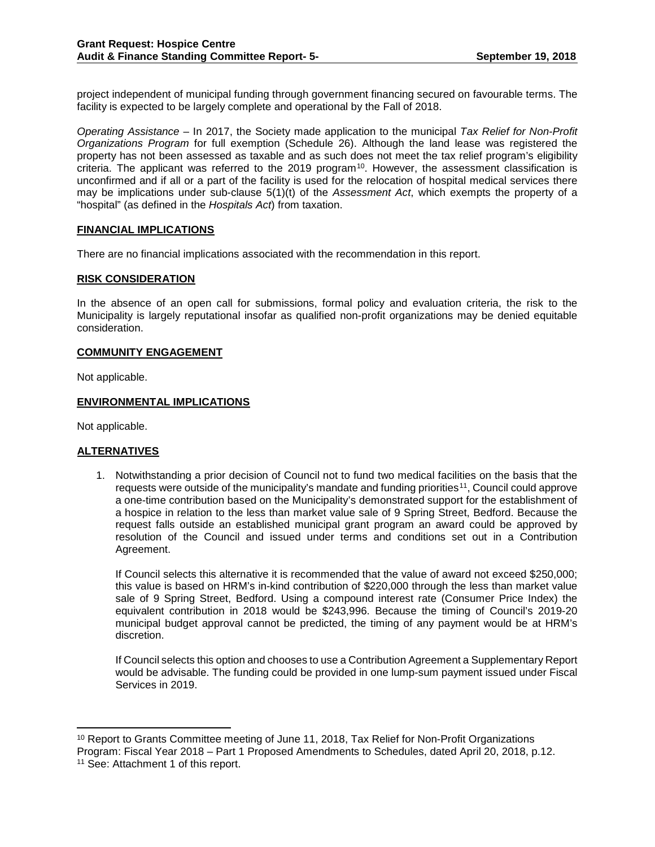project independent of municipal funding through government financing secured on favourable terms. The facility is expected to be largely complete and operational by the Fall of 2018.

*Operating Assistance* – In 2017, the Society made application to the municipal *Tax Relief for Non-Profit Organizations Program* for full exemption (Schedule 26). Although the land lease was registered the property has not been assessed as taxable and as such does not meet the tax relief program's eligibility criteria. The applicant was referred to the 2019 program<sup>10</sup>. However, the assessment classification is unconfirmed and if all or a part of the facility is used for the relocation of hospital medical services there may be implications under sub-clause 5(1)(t) of the *Assessment Act*, which exempts the property of a "hospital" (as defined in the *Hospitals Act*) from taxation.

### **FINANCIAL IMPLICATIONS**

There are no financial implications associated with the recommendation in this report.

### **RISK CONSIDERATION**

In the absence of an open call for submissions, formal policy and evaluation criteria, the risk to the Municipality is largely reputational insofar as qualified non-profit organizations may be denied equitable consideration.

#### **COMMUNITY ENGAGEMENT**

Not applicable.

### **ENVIRONMENTAL IMPLICATIONS**

Not applicable.

#### **ALTERNATIVES**

1. Notwithstanding a prior decision of Council not to fund two medical facilities on the basis that the requests were outside of the municipality's mandate and funding priorities<sup>11</sup>, Council could approve a one-time contribution based on the Municipality's demonstrated support for the establishment of a hospice in relation to the less than market value sale of 9 Spring Street, Bedford. Because the request falls outside an established municipal grant program an award could be approved by resolution of the Council and issued under terms and conditions set out in a Contribution Agreement.

If Council selects this alternative it is recommended that the value of award not exceed \$250,000; this value is based on HRM's in-kind contribution of \$220,000 through the less than market value sale of 9 Spring Street, Bedford. Using a compound interest rate (Consumer Price Index) the equivalent contribution in 2018 would be \$243,996. Because the timing of Council's 2019-20 municipal budget approval cannot be predicted, the timing of any payment would be at HRM's discretion.

If Council selects this option and chooses to use a Contribution Agreement a Supplementary Report would be advisable. The funding could be provided in one lump-sum payment issued under Fiscal Services in 2019.

<span id="page-7-1"></span><span id="page-7-0"></span><sup>&</sup>lt;sup>10</sup> Report to Grants Committee meeting of June 11, 2018, Tax Relief for Non-Profit Organizations Program: Fiscal Year 2018 – Part 1 Proposed Amendments to Schedules, dated April 20, 2018, p.12. <sup>11</sup> See: Attachment 1 of this report.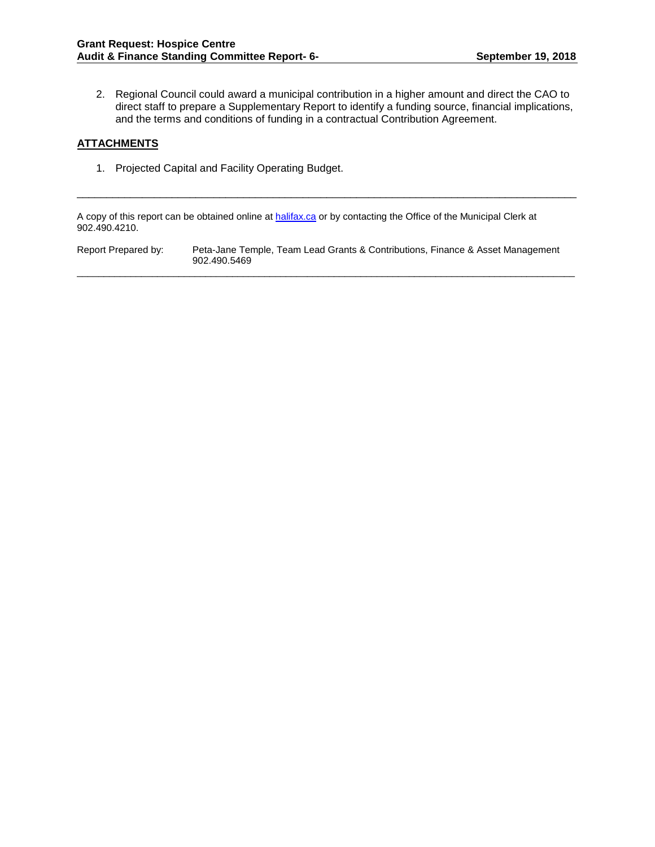2. Regional Council could award a municipal contribution in a higher amount and direct the CAO to direct staff to prepare a Supplementary Report to identify a funding source, financial implications, and the terms and conditions of funding in a contractual Contribution Agreement.

### **ATTACHMENTS**

1. Projected Capital and Facility Operating Budget.

A copy of this report can be obtained online at **halifax.ca** or by contacting the Office of the Municipal Clerk at 902.490.4210.

Report Prepared by: Peta-Jane Temple, Team Lead Grants & Contributions, Finance & Asset Management 902.490.5469

\_\_\_\_\_\_\_\_\_\_\_\_\_\_\_\_\_\_\_\_\_\_\_\_\_\_\_\_\_\_\_\_\_\_\_\_\_\_\_\_\_\_\_\_\_\_\_\_\_\_\_\_\_\_\_\_\_\_\_\_\_\_\_\_\_\_\_\_\_\_\_\_\_\_\_\_\_\_\_\_\_\_\_\_\_\_\_\_\_\_\_\_\_

\_\_\_\_\_\_\_\_\_\_\_\_\_\_\_\_\_\_\_\_\_\_\_\_\_\_\_\_\_\_\_\_\_\_\_\_\_\_\_\_\_\_\_\_\_\_\_\_\_\_\_\_\_\_\_\_\_\_\_\_\_\_\_\_\_\_\_\_\_\_\_\_\_\_\_\_\_\_\_\_\_\_\_\_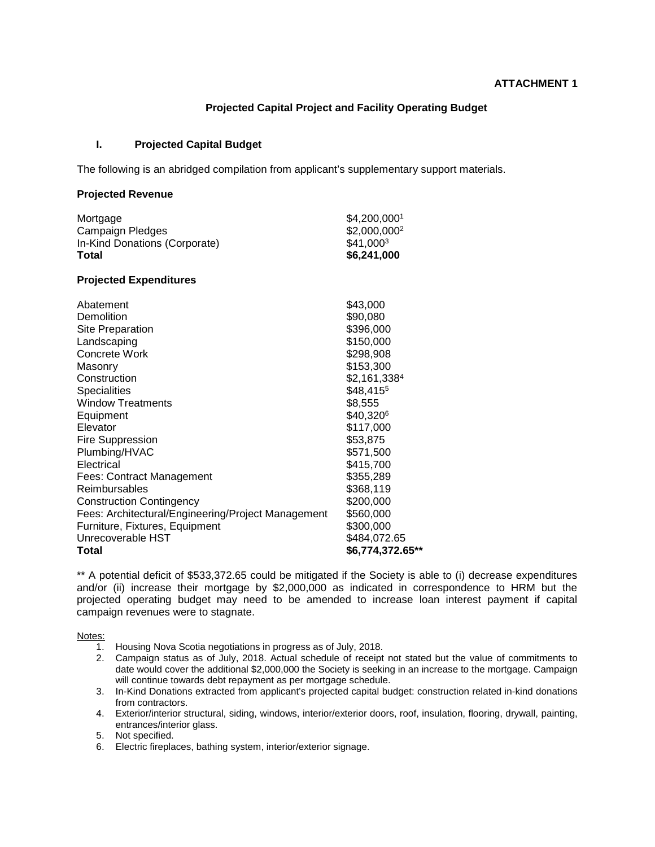### **Projected Capital Project and Facility Operating Budget**

### **I. Projected Capital Budget**

The following is an abridged compilation from applicant's supplementary support materials.

### **Projected Revenue**

| Mortgage                                           | \$4,200,0001             |
|----------------------------------------------------|--------------------------|
| <b>Campaign Pledges</b>                            | \$2,000,000 <sup>2</sup> |
| In-Kind Donations (Corporate)                      | \$41,0003                |
| Total                                              | \$6,241,000              |
| <b>Projected Expenditures</b>                      |                          |
| Abatement                                          | \$43,000                 |
| Demolition                                         | \$90,080                 |
| Site Preparation                                   | \$396,000                |
| Landscaping                                        | \$150,000                |
| Concrete Work                                      | \$298,908                |
| Masonry                                            | \$153,300                |
| Construction                                       | \$2,161,3384             |
| Specialities                                       | \$48,4155                |
| <b>Window Treatments</b>                           | \$8,555                  |
| Equipment                                          | \$40,3206                |
| Elevator                                           | \$117,000                |
| Fire Suppression                                   | \$53,875                 |
| Plumbing/HVAC                                      | \$571,500                |
| Electrical                                         | \$415,700                |
| Fees: Contract Management                          | \$355,289                |
| <b>Reimbursables</b>                               | \$368,119                |
| <b>Construction Contingency</b>                    | \$200,000                |
| Fees: Architectural/Engineering/Project Management | \$560,000                |
| Furniture, Fixtures, Equipment                     | \$300,000                |
| Unrecoverable HST                                  | \$484,072.65             |
| Total                                              | \$6,774,372.65**         |

\*\* A potential deficit of \$533,372.65 could be mitigated if the Society is able to (i) decrease expenditures and/or (ii) increase their mortgage by \$2,000,000 as indicated in correspondence to HRM but the projected operating budget may need to be amended to increase loan interest payment if capital campaign revenues were to stagnate.

Notes:

- 1. Housing Nova Scotia negotiations in progress as of July, 2018.
- 2. Campaign status as of July, 2018. Actual schedule of receipt not stated but the value of commitments to date would cover the additional \$2,000,000 the Society is seeking in an increase to the mortgage. Campaign will continue towards debt repayment as per mortgage schedule.
- 3. In-Kind Donations extracted from applicant's projected capital budget: construction related in-kind donations from contractors.
- 4. Exterior/interior structural, siding, windows, interior/exterior doors, roof, insulation, flooring, drywall, painting, entrances/interior glass.
- 5. Not specified.
- 6. Electric fireplaces, bathing system, interior/exterior signage.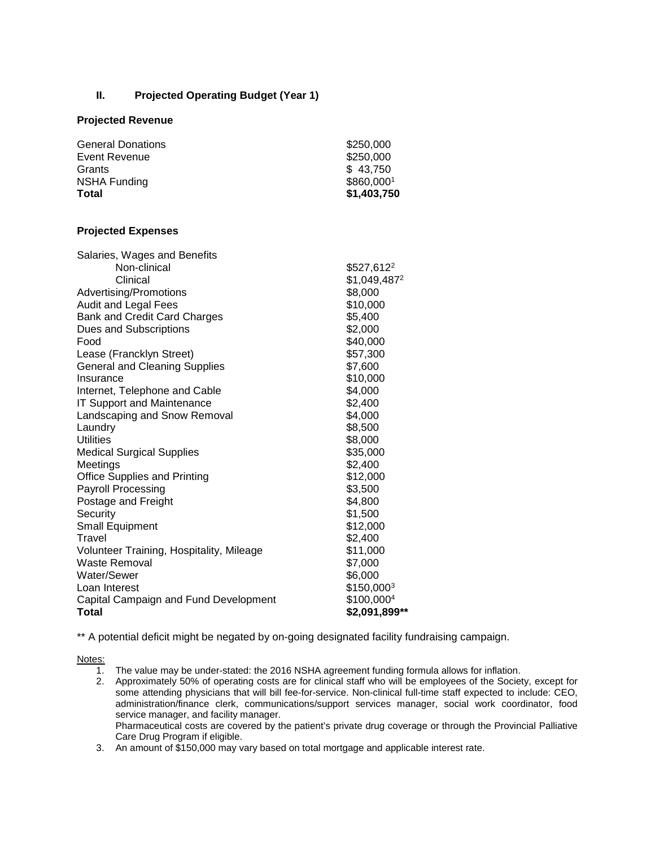### **II. Projected Operating Budget (Year 1)**

### **Projected Revenue**

| <b>General Donations</b> | \$250,000   |
|--------------------------|-------------|
| Event Revenue            | \$250,000   |
| Grants                   | \$43,750    |
| <b>NSHA Funding</b>      | \$860,0001  |
| Total                    | \$1,403,750 |

# **Projected Expenses**

| Salaries, Wages and Benefits             |                        |
|------------------------------------------|------------------------|
| Non-clinical                             | \$527,612 <sup>2</sup> |
| Clinical                                 | \$1,049,4872           |
| Advertising/Promotions                   | \$8,000                |
| Audit and Legal Fees                     | \$10,000               |
| <b>Bank and Credit Card Charges</b>      | \$5,400                |
| Dues and Subscriptions                   | \$2,000                |
| Food                                     | \$40,000               |
| Lease (Francklyn Street)                 | \$57,300               |
| <b>General and Cleaning Supplies</b>     | \$7,600                |
| Insurance                                | \$10,000               |
| Internet, Telephone and Cable            | \$4,000                |
| <b>IT Support and Maintenance</b>        | \$2,400                |
| Landscaping and Snow Removal             | \$4,000                |
| Laundry                                  | \$8,500                |
| <b>Utilities</b>                         | \$8,000                |
| <b>Medical Surgical Supplies</b>         | \$35,000               |
| Meetings                                 | \$2,400                |
| <b>Office Supplies and Printing</b>      | \$12,000               |
| <b>Payroll Processing</b>                | \$3,500                |
| Postage and Freight                      | \$4,800                |
| Security                                 | \$1,500                |
| <b>Small Equipment</b>                   | \$12,000               |
| Travel                                   | \$2,400                |
| Volunteer Training, Hospitality, Mileage | \$11,000               |
| <b>Waste Removal</b>                     | \$7,000                |
| Water/Sewer                              | \$6,000                |
| Loan Interest                            | \$150,0003             |
| Capital Campaign and Fund Development    | \$100,0004             |
| Total                                    | \$2,091,899**          |

\*\* A potential deficit might be negated by on-going designated facility fundraising campaign.

Notes:

- 1. The value may be under-stated: the 2016 NSHA agreement funding formula allows for inflation.
- 2. Approximately 50% of operating costs are for clinical staff who will be employees of the Society, except for some attending physicians that will bill fee-for-service. Non-clinical full-time staff expected to include: CEO, administration/finance clerk, communications/support services manager, social work coordinator, food service manager, and facility manager.

Pharmaceutical costs are covered by the patient's private drug coverage or through the Provincial Palliative Care Drug Program if eligible.

3. An amount of \$150,000 may vary based on total mortgage and applicable interest rate.